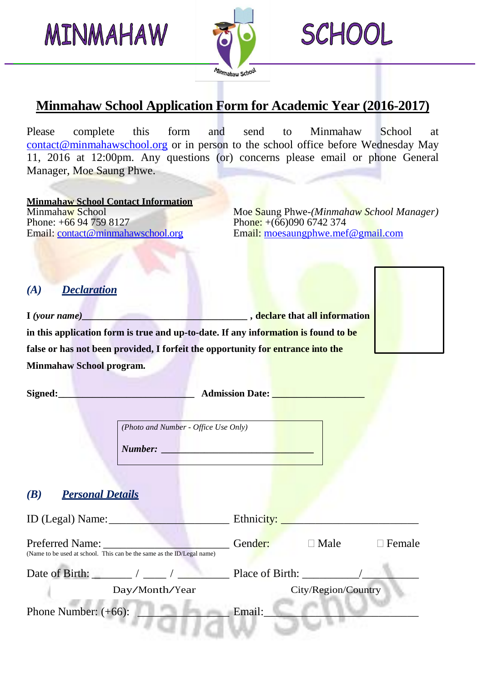MINMAHAW



**SCHOOL** 

## **Minmahaw School Application Form for Academic Year (2016-2017)**

Please complete this form and send to Minmahaw School at contact@minmahawschool.org or in person to the school office before Wednesday May 11, 2016 at 12:00pm. Any questions (or) concerns please email or phone General Manager, Moe Saung Phwe.

**Minmahaw School Contact Information** Phone: +66 94 759 8127<br>
Email: contact@minmahawschool.org<br>
Email: moesaungphwe.mef

Minmaha<mark>w School Moe Sa</mark>ung Phwe-*(Minmahaw School Manager)*<br>Phone: +66 94 759 8127 Phone: +660090 6742 374 Email: moesaungphwe.mef@gmail.com

#### *(A) Declaration*

**I** *(your name)\_\_\_\_\_\_\_\_\_\_\_\_\_\_\_\_\_\_\_\_\_\_\_\_\_\_\_\_\_\_\_\_\_\_ ,* **declare that all information**

**in this application form is true and up-to-date. If any information is found to be false or has not been provided, I forfeit the opportunity for entrance into the Minmahaw School program.**

**Signed:\_\_\_\_\_\_\_\_\_\_\_\_\_\_\_\_\_\_\_\_\_\_\_\_\_\_\_\_ Admission Date: \_\_\_\_\_\_\_\_\_\_\_\_\_\_\_\_\_\_\_**

*(Photo and Number - Office Use Only)*

*Number: \_\_\_\_\_\_\_\_\_\_\_\_\_\_\_\_\_\_\_\_\_\_\_\_\_\_\_\_\_\_\_\_*

#### *(B) Personal Details*

| ID (Legal) Name:                                                                          | Ethnicity:                          |
|-------------------------------------------------------------------------------------------|-------------------------------------|
| Preferred Name:<br>(Name to be used at school. This can be the same as the ID/Legal name) | Gender:<br>$\square$ Male<br>Female |
| Date of Birth: / /                                                                        | Place of Birth:                     |
| Day/Month/Year                                                                            | City/Region/Country                 |
| Phone Number: $(+66)$ :                                                                   | Email:                              |
|                                                                                           |                                     |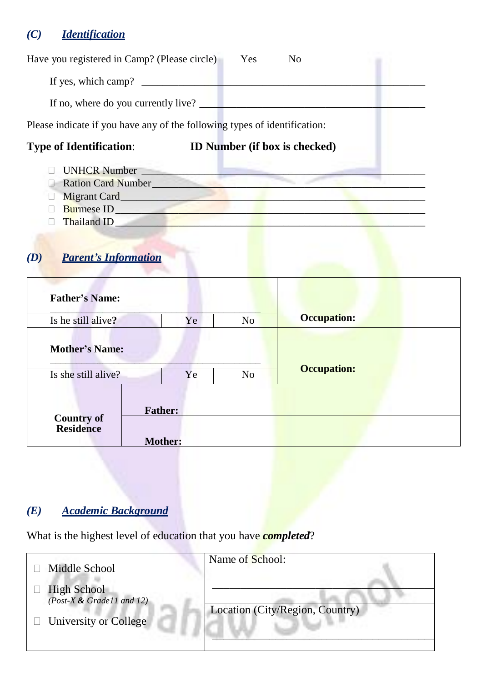## *(C) Identification*

Thailand ID\_\_\_\_\_\_\_\_\_\_\_\_\_\_\_\_\_\_\_\_\_\_\_\_\_\_\_\_\_\_\_\_\_\_\_\_\_\_\_\_\_\_\_\_\_\_\_\_\_\_\_\_\_\_\_\_\_\_\_

# *(D) Parent's Information*

| <b>Father's Name:</b>                        |                                  |                |                    |
|----------------------------------------------|----------------------------------|----------------|--------------------|
| Is he still alive?                           | Ye                               | N <sub>o</sub> | <b>Occupation:</b> |
| <b>Mother's Name:</b><br>Is she still alive? | Ye                               | N <sub>o</sub> | <b>Occupation:</b> |
| <b>Country of</b><br><b>Residence</b>        | <b>Father:</b><br><b>Mother:</b> |                |                    |

### *(E) Academic Background*

What is the highest level of education that you have *completed*?

| Middle School                                                                   | Name of School:                 |
|---------------------------------------------------------------------------------|---------------------------------|
| <b>High School</b><br>(Post-X & Grade11 and 12)<br>$\Box$ University or College | Location (City/Region, Country) |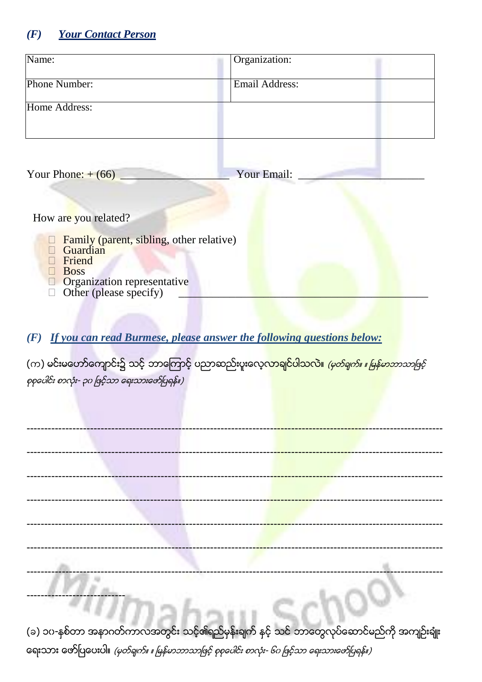#### **Your Contact Person**  $(F)$

| Name:                                                                                                                                  | Organization:         |
|----------------------------------------------------------------------------------------------------------------------------------------|-----------------------|
| <b>Phone Number:</b>                                                                                                                   | <b>Email Address:</b> |
| Home Address:                                                                                                                          |                       |
| Your Phone: $+(66)$                                                                                                                    | Your Email:           |
| How are you related?                                                                                                                   |                       |
| Family (parent, sibling, other relative)<br>Guardian<br>Friend<br><b>Boss</b><br>Organization representative<br>Other (please specify) |                       |

(F) If you can read Burmese, please answer the following questions below:

(က) မင်းမဟော်ကျောင်း၌ သင့် ဘာကြောင့် ပညာဆည်းပူးလေ့<mark>လာချင်ပါသလဲ။ *(မှတ်ချက်။ ။ မြန်မာဘာသာဖြင့်*</mark> စုစုပေါင်း စာလုံး- ၃၀ ဖြင့်သာ ရေးသားဖော်ပြရန်။)

 $\overline{1}$ 

(ခ) ၁၀-နှစ်တာ အနာဂတ်ကာလအတွင်း သင့်၏ရည်မှန်းချက် နှင့် သင် ဘာတွေလုပ်ဆောင်မည်ကို အကျဉ်းချုံး ရေးသား ဇော်ပြပေးပါ။ *(မှတ်ချက်။ ။ မြန်မာဘာသာဖြင့် စုစုပေါင်း စာလုံး- ၆၀ ဖြင့်သာ ရေးသားဖော်ပြရန်။)*